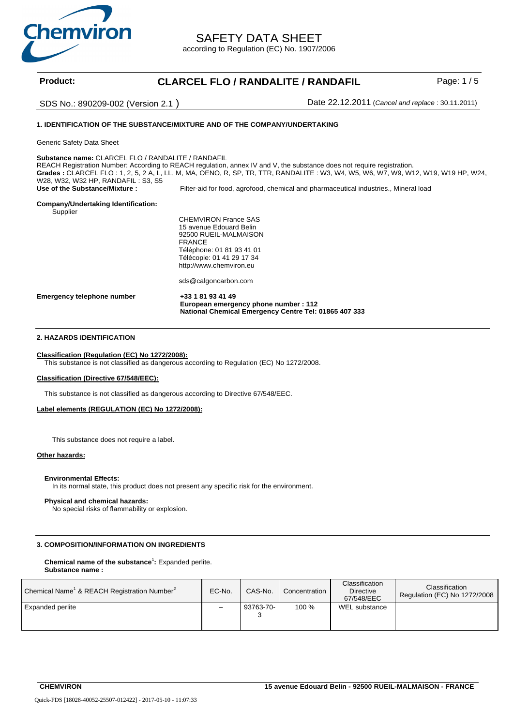

SAFETY DATA SHEET

according to Regulation (EC) No. 1907/2006

# Product: CLARCEL FLO / RANDALITE / RANDAFIL Page: 1/5

SDS No.: 890209-002 (Version 2.1 ) Date 22.12.2011 (*Cancel and replace* : 30.11.2011)

# **1. IDENTIFICATION OF THE SUBSTANCE/MIXTURE AND OF THE COMPANY/UNDERTAKING**

Generic Safety Data Sheet

**Substance name:** CLARCEL FLO / RANDALITE / RANDAFIL

REACH Registration Number: According to REACH regulation, annex IV and V, the substance does not require registration. **Grades :** CLARCEL FLO : 1, 2, 5, 2 A, L, LL, M, MA, OENO, R, SP, TR, TTR, RANDALITE : W3, W4, W5, W6, W7, W9, W12, W19, W19 HP, W24, W28, W32, W32 HP, RANDAFIL: S3, S5<br>Use of the Substance/Mixture: Filter-aid for food, agrofood, chemical and pharmaceutical industries., Mineral load

# **Company/Undertaking Identification:**

Supplier

CHEMVIRON France SAS 15 avenue Edouard Belin 92500 RUEIL-MALMAISON FRANCE Téléphone: 01 81 93 41 01 Télécopie: 01 41 29 17 34 http://www.chemviron.eu

sds@calgoncarbon.com

**Emergency telephone number +33 1 81 93 41 49 European emergency phone number : 112 National Chemical Emergency Centre Tel: 01865 407 333**

# **2. HAZARDS IDENTIFICATION**

#### **Classification (Regulation (EC) No 1272/2008):**

This substance is not classified as dangerous according to Regulation (EC) No 1272/2008.

#### **Classification (Directive 67/548/EEC):**

This substance is not classified as dangerous according to Directive 67/548/EEC.

# **Label elements (REGULATION (EC) No 1272/2008):**

This substance does not require a label.

#### **Other hazards:**

#### **Environmental Effects:**

In its normal state, this product does not present any specific risk for the environment.

#### **Physical and chemical hazards:**

No special risks of flammability or explosion.

### **3. COMPOSITION/INFORMATION ON INGREDIENTS**

#### **Chemical name of the substance**<sup>1</sup> **:** Expanded perlite. **Substance name :**

| Chemical Name <sup>1</sup> & REACH Registration Number <sup>2</sup> | EC-No. | CAS-No.        | Concentration | Classification<br><b>Directive</b><br>67/548/EEC | Classification<br>Regulation (EC) No 1272/2008 |
|---------------------------------------------------------------------|--------|----------------|---------------|--------------------------------------------------|------------------------------------------------|
| <b>Expanded perlite</b>                                             | -      | 93763-70-<br>ັ | 100 %         | WEL substance                                    |                                                |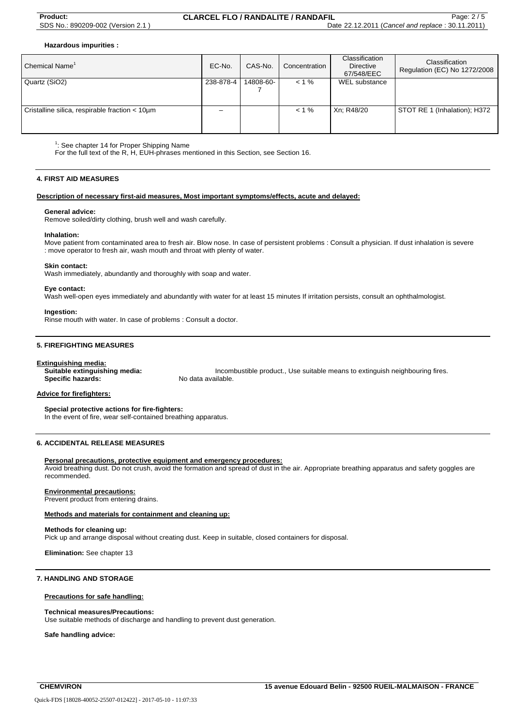**Hazardous impurities :** 

| Chemical Name <sup>1</sup>                     | EC-No.    | CAS-No.   | Concentration | Classification<br><b>Directive</b><br>67/548/EEC | Classification<br>Regulation (EC) No 1272/2008 |
|------------------------------------------------|-----------|-----------|---------------|--------------------------------------------------|------------------------------------------------|
| Quartz (SiO2)                                  | 238-878-4 | 14808-60- | $< 1 \%$      | WEL substance                                    |                                                |
| Cristalline silica, respirable fraction < 10um | -         |           | $< 1 \%$      | Xn: R48/20                                       | STOT RE 1 (Inhalation); H372                   |

 $1$ : See chapter 14 for Proper Shipping Name

For the full text of the R, H, EUH-phrases mentioned in this Section, see Section 16.

#### **4. FIRST AID MEASURES**

#### **Description of necessary first-aid measures, Most important symptoms/effects, acute and delayed:**

#### **General advice:**

Remove soiled/dirty clothing, brush well and wash carefully.

#### **Inhalation:**

Move patient from contaminated area to fresh air. Blow nose. In case of persistent problems : Consult a physician. If dust inhalation is severe : move operator to fresh air, wash mouth and throat with plenty of water.

#### **Skin contact:**

Wash immediately, abundantly and thoroughly with soap and water.

#### **Eye contact:**

Wash well-open eyes immediately and abundantly with water for at least 15 minutes If irritation persists, consult an ophthalmologist.

#### **Ingestion:**

Rinse mouth with water. In case of problems : Consult a doctor.

### **5. FIREFIGHTING MEASURES**

**Extinguishing media: Specific hazards:** 

**Suitable extinguishing media:** Incombustible product., Use suitable means to extinguish neighbouring fires.

#### **Advice for firefighters:**

**Special protective actions for fire-fighters:**

In the event of fire, wear self-contained breathing apparatus.

# **6. ACCIDENTAL RELEASE MEASURES**

#### **Personal precautions, protective equipment and emergency procedures:**

Avoid breathing dust. Do not crush, avoid the formation and spread of dust in the air. Appropriate breathing apparatus and safety goggles are recommended.

#### **Environmental precautions:**

Prevent product from entering drains.

#### **Methods and materials for containment and cleaning up:**

#### **Methods for cleaning up:**

Pick up and arrange disposal without creating dust. Keep in suitable, closed containers for disposal.

**Elimination:** See chapter 13

# **7. HANDLING AND STORAGE**

#### **Precautions for safe handling:**

#### **Technical measures/Precautions:**

Use suitable methods of discharge and handling to prevent dust generation.

**Safe handling advice:**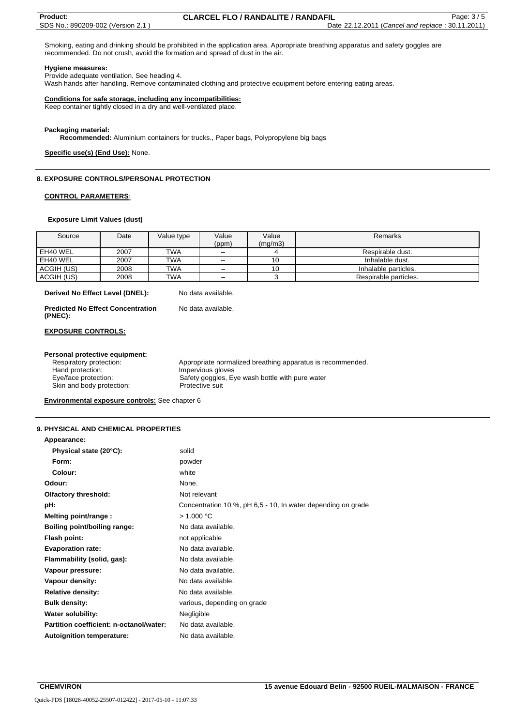Smoking, eating and drinking should be prohibited in the application area. Appropriate breathing apparatus and safety goggles are recommended. Do not crush, avoid the formation and spread of dust in the air.

#### **Hygiene measures:**

Provide adequate ventilation. See heading 4.

Wash hands after handling. Remove contaminated clothing and protective equipment before entering eating areas.

#### **Conditions for safe storage, including any incompatibilities:**

Keep container tightly closed in a dry and well-ventilated place.

#### **Packaging material:**

**Recommended:** Aluminium containers for trucks., Paper bags, Polypropylene big bags

#### **Specific use(s) (End Use):** None.

#### **8. EXPOSURE CONTROLS/PERSONAL PROTECTION**

#### **CONTROL PARAMETERS:**

#### **Exposure Limit Values (dust)**

| Source     | Date | Value type | Value<br>(ppm) | Value<br>(mq/m3) | Remarks               |
|------------|------|------------|----------------|------------------|-----------------------|
| EH40 WEL   | 2007 | <b>TWA</b> |                |                  | Respirable dust.      |
| EH40 WEL   | 2007 | <b>TWA</b> |                | 10               | Inhalable dust.       |
| ACGIH (US) | 2008 | <b>TWA</b> | -              | 10               | Inhalable particles.  |
| ACGIH (US) | 2008 | <b>TWA</b> | -              |                  | Respirable particles. |

**Derived No Effect Level (DNEL):** No data available.

| <b>Predicted No Effect Concentration</b> | No data available. |
|------------------------------------------|--------------------|
| (PNEC):                                  |                    |

#### **EXPOSURE CONTROLS:**

# **Personal protective equipment:**<br>Respiratory protection:

Respiratory protection: Appropriate normalized breathing apparatus is recommended.<br>
Hand protection: Impervious gloves Impervious gloves Eye/face protection: Safety goggles, Eye wash bottle with pure water Skin and body protection: Protective suit

**Environmental exposure controls:** See chapter 6

### **9. PHYSICAL AND CHEMICAL PROPERTIES**

| Appearance:                             |                                                              |
|-----------------------------------------|--------------------------------------------------------------|
| Physical state (20°C):                  | solid                                                        |
| Form:                                   | powder                                                       |
| Colour:                                 | white                                                        |
| Odour:                                  | None.                                                        |
| <b>Olfactory threshold:</b>             | Not relevant                                                 |
| pH:                                     | Concentration 10 %, pH 6,5 - 10, In water depending on grade |
| Melting point/range :                   | > 1.000 °C                                                   |
| Boiling point/boiling range:            | No data available.                                           |
| Flash point:                            | not applicable                                               |
| <b>Evaporation rate:</b>                | No data available.                                           |
| Flammability (solid, gas):              | No data available.                                           |
| Vapour pressure:                        | No data available.                                           |
| Vapour density:                         | No data available.                                           |
| <b>Relative density:</b>                | No data available.                                           |
| <b>Bulk density:</b>                    | various, depending on grade                                  |
| <b>Water solubility:</b>                | Negligible                                                   |
| Partition coefficient: n-octanol/water: | No data available.                                           |
| <b>Autoignition temperature:</b>        | No data available.                                           |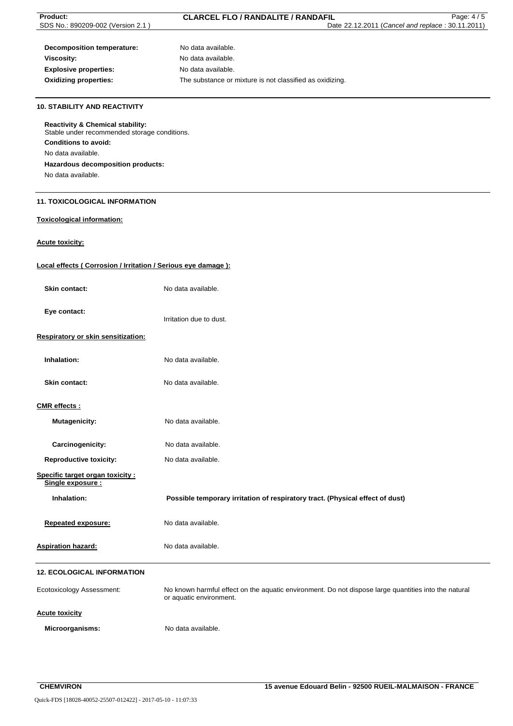| <b>Product:</b>                                                                             | <b>CLARCEL FLO / RANDALITE / RANDAFIL</b><br>Page: 4/5                                                                          |
|---------------------------------------------------------------------------------------------|---------------------------------------------------------------------------------------------------------------------------------|
| SDS No.: 890209-002 (Version 2.1)                                                           | Date 22.12.2011 (Cancel and replace: 30.11.2011)                                                                                |
|                                                                                             |                                                                                                                                 |
|                                                                                             |                                                                                                                                 |
| <b>Decomposition temperature:</b>                                                           | No data available.                                                                                                              |
| <b>Viscosity:</b>                                                                           | No data available.                                                                                                              |
| <b>Explosive properties:</b>                                                                | No data available.                                                                                                              |
| <b>Oxidizing properties:</b>                                                                | The substance or mixture is not classified as oxidizing.                                                                        |
|                                                                                             |                                                                                                                                 |
| <b>10. STABILITY AND REACTIVITY</b>                                                         |                                                                                                                                 |
| <b>Reactivity &amp; Chemical stability:</b><br>Stable under recommended storage conditions. |                                                                                                                                 |
|                                                                                             |                                                                                                                                 |
| <b>Conditions to avoid:</b>                                                                 |                                                                                                                                 |
| No data available.                                                                          |                                                                                                                                 |
| Hazardous decomposition products:                                                           |                                                                                                                                 |
| No data available.                                                                          |                                                                                                                                 |
|                                                                                             |                                                                                                                                 |
| <b>11. TOXICOLOGICAL INFORMATION</b>                                                        |                                                                                                                                 |
| <b>Toxicological information:</b>                                                           |                                                                                                                                 |
| <b>Acute toxicity:</b>                                                                      |                                                                                                                                 |
| Local effects (Corrosion / Irritation / Serious eye damage):                                |                                                                                                                                 |
|                                                                                             |                                                                                                                                 |
| Skin contact:                                                                               | No data available.                                                                                                              |
| Eye contact:                                                                                |                                                                                                                                 |
|                                                                                             | Irritation due to dust.                                                                                                         |
| Respiratory or skin sensitization:                                                          |                                                                                                                                 |
| Inhalation:                                                                                 | No data available.                                                                                                              |
|                                                                                             |                                                                                                                                 |
| <b>Skin contact:</b>                                                                        | No data available.                                                                                                              |
| CMR effects:                                                                                |                                                                                                                                 |
| <b>Mutagenicity:</b>                                                                        | No data available.                                                                                                              |
|                                                                                             |                                                                                                                                 |
| Carcinogenicity:                                                                            | No data available.                                                                                                              |
| <b>Reproductive toxicity:</b>                                                               | No data available.                                                                                                              |
| Specific target organ toxicity:<br>Single exposure :                                        |                                                                                                                                 |
|                                                                                             |                                                                                                                                 |
| Inhalation:                                                                                 | Possible temporary irritation of respiratory tract. (Physical effect of dust)                                                   |
| <b>Repeated exposure:</b>                                                                   | No data available.                                                                                                              |
|                                                                                             |                                                                                                                                 |
| <b>Aspiration hazard:</b>                                                                   | No data available.                                                                                                              |
| <b>12. ECOLOGICAL INFORMATION</b>                                                           |                                                                                                                                 |
| <b>Ecotoxicology Assessment:</b>                                                            | No known harmful effect on the aquatic environment. Do not dispose large quantities into the natural<br>or aquatic environment. |
| <b>Acute toxicity</b>                                                                       |                                                                                                                                 |
| Microorganisms:                                                                             | No data available.                                                                                                              |
|                                                                                             |                                                                                                                                 |